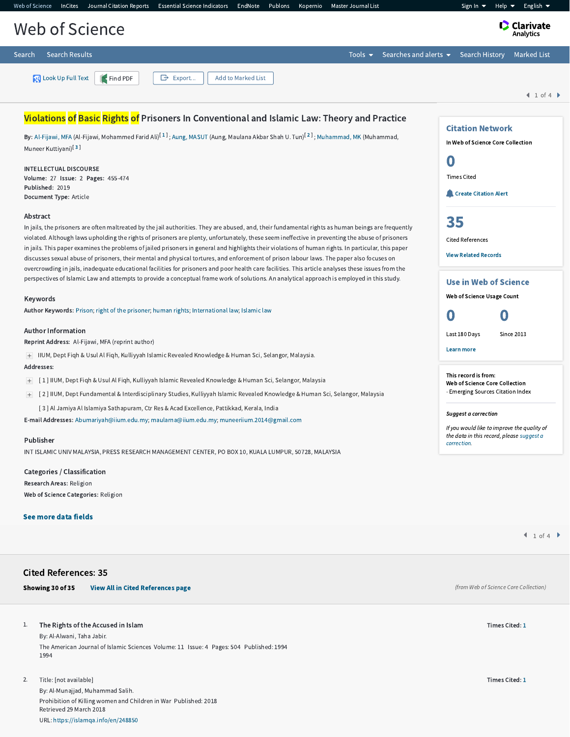| Web of Science                                  | InCites Journal Citation Reports Essential Science Indicators EndNote Publons Kopernio Master Journal List |                          |                    |  |  |  |                                                              | Help $\blacktriangledown$<br>Sign In $\blacktriangledown$ | English $\blacktriangledown$ |
|-------------------------------------------------|------------------------------------------------------------------------------------------------------------|--------------------------|--------------------|--|--|--|--------------------------------------------------------------|-----------------------------------------------------------|------------------------------|
| <b>Clarivate</b><br>Analytics<br>Web of Science |                                                                                                            |                          |                    |  |  |  |                                                              |                                                           |                              |
| Search                                          | <b>Search Results</b>                                                                                      |                          |                    |  |  |  | Tools $\bullet$ Searches and alerts $\bullet$ Search History |                                                           | Marked List                  |
|                                                 | Look Up Full Text Find PDF                                                                                 | $\mathbf{\Theta}$ Export | Add to Marked List |  |  |  |                                                              |                                                           | 1 of 4                       |
|                                                 |                                                                                                            |                          |                    |  |  |  |                                                              |                                                           |                              |

# Violations of Basic Rights of Prisoners In Conventional and Islamic Law: Theory and Practice

**By:** [Al-Fijawi,](http://apps.webofknowledge.com.ezproxy.um.edu.my/OutboundService.do?SID=F4zNzeTzPMB9u6WFgvg&mode=rrcAuthorRecordService&action=go&product=WOS&lang=en_US&daisIds=31085907) MFA (Al-Fijawi, Mohammed Farid Ali)<sup>[[1](javascript:sup_focus()]</sup>; Aung, [MASUT](http://apps.webofknowledge.com.ezproxy.um.edu.my/OutboundService.do?SID=F4zNzeTzPMB9u6WFgvg&mode=rrcAuthorRecordService&action=go&product=WOS&lang=en_US&daisIds=29577107) (Aung, Maulana Akbar Shah U. Tun)<sup>[[2](javascript:sup_focus()]</sup>; [Muhammad,](http://apps.webofknowledge.com.ezproxy.um.edu.my/OutboundService.do?SID=F4zNzeTzPMB9u6WFgvg&mode=rrcAuthorRecordService&action=go&product=WOS&lang=en_US&daisIds=15616947) MK (Muhammad, Muneer Kuttiyani)<sup>[[3](javascript:sup_focus()]</sup>

#### INTELLECTUAL DISCOURSE

Volume: 27 Issue: 2 Pages: 455-474 Published: 2019 Document Type: Article

### Abstract

In jails, the prisoners are often maltreated by the jail authorities. They are abused, and, their fundamental rights as human beings are frequently violated. Although laws upholding the rights of prisoners are plenty, unfortunately, these seem ineffective in preventing the abuse of prisoners in jails. This paper examines the problems of jailed prisoners in general and highlights their violations of human rights. In particular, this paper discusses sexual abuse of prisoners, their mental and physical tortures, and enforcement of prison labour laws. The paper also focuses on overcrowding in jails, inadequate educational facilities for prisoners and poor health care facilities. This article analyses these issues from the perspectives of Islamic Law and attempts to provide a conceptual frame work of solutions. An analytical approach is employed in this study.

#### Keywords

Author Keywords: [Prison](http://apps.webofknowledge.com.ezproxy.um.edu.my/OneClickSearch.do?product=WOS&search_mode=OneClickSearch&excludeEventConfig=ExcludeIfFromFullRecPage&colName=WOS&SID=F4zNzeTzPMB9u6WFgvg&field=TS&value=Prison&uncondQuotes=true); right of the [prisoner](http://apps.webofknowledge.com.ezproxy.um.edu.my/OneClickSearch.do?product=WOS&search_mode=OneClickSearch&excludeEventConfig=ExcludeIfFromFullRecPage&colName=WOS&SID=F4zNzeTzPMB9u6WFgvg&field=TS&value=right+of+the+prisoner&uncondQuotes=true); [human](http://apps.webofknowledge.com.ezproxy.um.edu.my/OneClickSearch.do?product=WOS&search_mode=OneClickSearch&excludeEventConfig=ExcludeIfFromFullRecPage&colName=WOS&SID=F4zNzeTzPMB9u6WFgvg&field=TS&value=human+rights&uncondQuotes=true) rights; [International](http://apps.webofknowledge.com.ezproxy.um.edu.my/OneClickSearch.do?product=WOS&search_mode=OneClickSearch&excludeEventConfig=ExcludeIfFromFullRecPage&colName=WOS&SID=F4zNzeTzPMB9u6WFgvg&field=TS&value=International+law&uncondQuotes=true) law; [Islamic](http://apps.webofknowledge.com.ezproxy.um.edu.my/OneClickSearch.do?product=WOS&search_mode=OneClickSearch&excludeEventConfig=ExcludeIfFromFullRecPage&colName=WOS&SID=F4zNzeTzPMB9u6WFgvg&field=TS&value=Islamic+law&uncondQuotes=true) law

#### Author Information

Reprint Address: Al-Fijawi, MFA (reprint author)

IIUM, Dept Fiqh & Usul Al Fiqh, Kulliyyah Islamic Revealed Knowledge & Human Sci, Selangor, Malaysia.

#### Addresses:

- [ 1 ] IIUM, Dept Fiqh & Usul Al Fiqh, Kulliyyah Islamic Revealed Knowledge & Human Sci, Selangor, Malaysia
- [ 2 ] IIUM, Dept Fundamental & Interdisciplinary Studies, Kulliyyah Islamic Revealed Knowledge & Human Sci, Selangor, Malaysia
	- [ 3 ] Al Jamiya Al Islamiya Sathapuram, Ctr Res & Acad Excellence, Pattikkad, Kerala, India

E-mail Addresses: [Abumariyah@iium.edu.my](mailto:Abumariyah@iium.edu.my); [maularna@iium.edu.my](mailto:maularna@iium.edu.my); [muneeriium.2014@gmail.com](mailto:muneeriium.2014@gmail.com)

## Publisher

INT ISLAMIC UNIV MALAYSIA, PRESS RESEARCH MANAGEMENT CENTER, PO BOX 10, KUALA LUMPUR, 50728, MALAYSIA

Categories / Classification Research Areas: Religion Web of Science Categories: Religion

### See more data fields

# Cited References: 35

| Showing 30 of 35 |  |  |
|------------------|--|--|
|------------------|--|--|

[View All in Cited References page](http://apps.webofknowledge.com.ezproxy.um.edu.my/summary.do?product=WOS&parentProduct=WOS&search_mode=CitedRefList&parentQid=19&parentDoc=1&qid=20&SID=F4zNzeTzPMB9u6WFgvg&colName=WOS&page=1)

## 1. The Rights of the Accused in Islam

By: Al-Alwani, Taha Jabir. The American Journal of Islamic Sciences Volume: 11 Issue: 4 Pages: 504 Published: 1994 1994

Title: [not available] By: Al-Munajjad, Muhammad Salih. Prohibition of Killing women and Children in War Published: 2018 Retrieved 29 March 2018 URL: [https://islamqa.info/en/248850](javascript:open_location() 2.

 $1 of 4$ 

(from Web of Science Core Collection)

Times Cited: [1](http://apps.webofknowledge.com.ezproxy.um.edu.my/CitingArticles.do?product=WOS&SID=F4zNzeTzPMB9u6WFgvg&search_mode=CitingArticles&parentProduct=WOS&parentQid=20&parentDoc=1&REFID=598340053&logEventUT=&excludeEventConfig=ExcludeIfFromNonInterProduct)

Times Cited: [1](http://apps.webofknowledge.com.ezproxy.um.edu.my/CitingArticles.do?product=WOS&SID=F4zNzeTzPMB9u6WFgvg&search_mode=CitingArticles&parentProduct=WOS&parentQid=20&parentDoc=2&REFID=598340055&logEventUT=&excludeEventConfig=ExcludeIfFromNonInterProduct)

Use in Web of Science Web of Science Usage Count 0 0 Last 180 Days Since 2013

Citation Network In Web of Science Core Collection

**Create [Citation](javascript:csiovl() Alert** 

0 Times Cited

[35](http://apps.webofknowledge.com.ezproxy.um.edu.my/InterService.do?product=WOS&toPID=WOS&action=AllCitationService&isLinks=yes&highlighted_tab=WOS&last_prod=WOS&fromPID=WOS&returnLink=http%3a%2f%2fapps.webofknowledge.com%2ffull_record.do%3fhighlighted_tab%3dWOS%26last_prod%3dWOS%26search_mode%3dGeneralSearch%26qid%3d19%26log_event%3dyes%26product%3dWOS%26SID%3dF4zNzeTzPMB9u6WFgvg%26viewType%3dfullRecord%26doc%3d1%26page%3d1&srcDesc=RET2WOS&srcAlt=Back+to+Web+of+Science&UT=WOS:000504058000008&search_mode=CitedRefList&SID=F4zNzeTzPMB9u6WFgvg&parentProduct=WOS&parentQid=19&parentDoc=1&recid=WOS:000504058000008&PREC_REFCOUNT=35&fromRightPanel=true)

Cited References View Related [Records](http://apps.webofknowledge.com.ezproxy.um.edu.my/InterService.do?product=WOS&toPID=WOS&action=AllCitationService&isLinks=yes&highlighted_tab=WOS&last_prod=WOS&fromPID=WOS&returnLink=http%3a%2f%2fapps.webofknowledge.com%2ffull_record.do%3fhighlighted_tab%3dWOS%26last_prod%3dWOS%26search_mode%3dGeneralSearch%26qid%3d19%26log_event%3dyes%26product%3dWOS%26SID%3dF4zNzeTzPMB9u6WFgvg%26viewType%3dfullRecord%26doc%3d1%26page%3d1&srcDesc=RET2WOS&srcAlt=Back+to+Web+of+Science&UT=WOS:000504058000008&parentProduct=WOS&parentQid=19&search_mode=RelatedRecords&SID=F4zNzeTzPMB9u6WFgvg&parentDoc=1)

Learn more

This record is from: Web of Science Core Collection - Emerging Sources Citation Index

## Suggest a correction

If you would like to improve the quality of the data in this record, please suggest a [correction.](javascript:;)